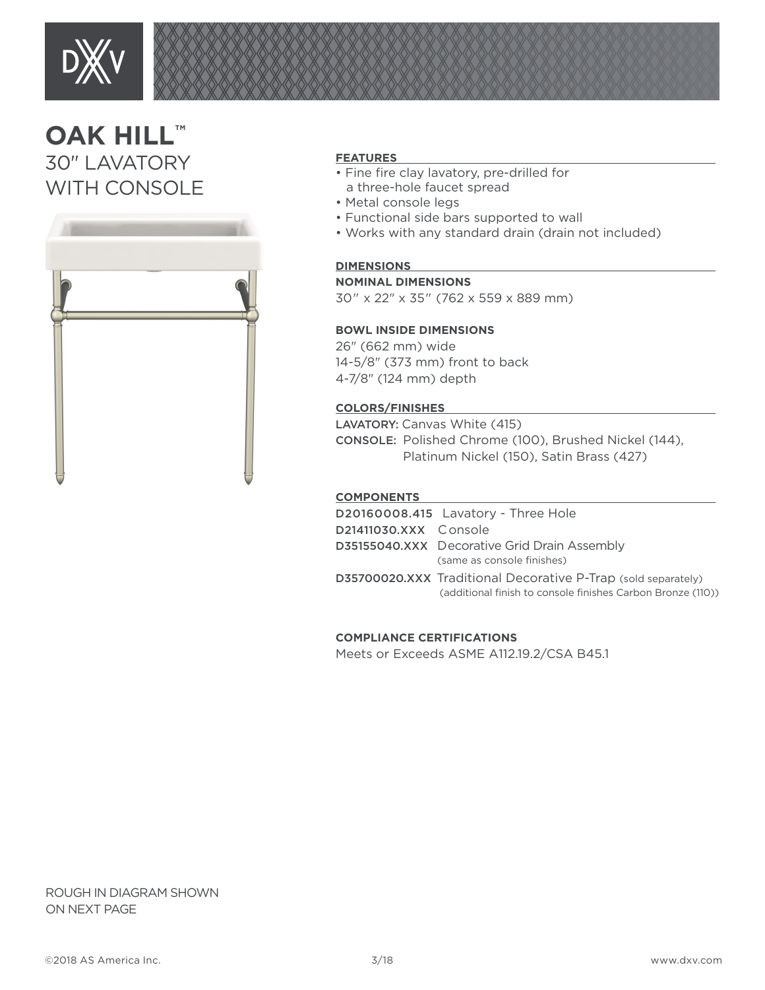

# **OAK HILL™** 30" LAVATORY WITH CONSOLE



#### **FEATURES**

- Fine fire clay lavatory, pre-drilled for a three-hole faucet spread
- Metal console legs
- Functional side bars supported to wall
- Works with any standard drain (drain not included)

### **DIMENSIONS**

#### **NOMINAL DIMENSIONS**

30" x 22" x 35" (762 x 559 x 889 mm)

#### **BOWL INSIDE DIMENSIONS**

26" (662 mm) wide 14-5/8" (373 mm) front to back 4-7/8" (124 mm) depth

#### **COLORS/FINISHES**

LAVATORY: Canvas White (415) CONSOLE: Polished Chrome (100), Brushed Nickel (144), Platinum Nickel (150), Satin Brass (427)

#### **COMPONENTS**

|                       | D20160008.415 Lavatory - Three Hole                                                                                          |
|-----------------------|------------------------------------------------------------------------------------------------------------------------------|
| D21411030.XXX Console |                                                                                                                              |
|                       | <b>D35155040.XXX</b> Decorative Grid Drain Assembly<br>(same as console finishes)                                            |
|                       | D35700020.XXX Traditional Decorative P-Trap (sold separately)<br>(additional finish to console finishes Carbon Bronze (110)) |

#### **COMPLIANCE CERTIFICATIONS**

Meets or Exceeds ASME A112.19.2/CSA B45.1

ROUGH IN DIAGRAM SHOWN ON NEXT PAGE